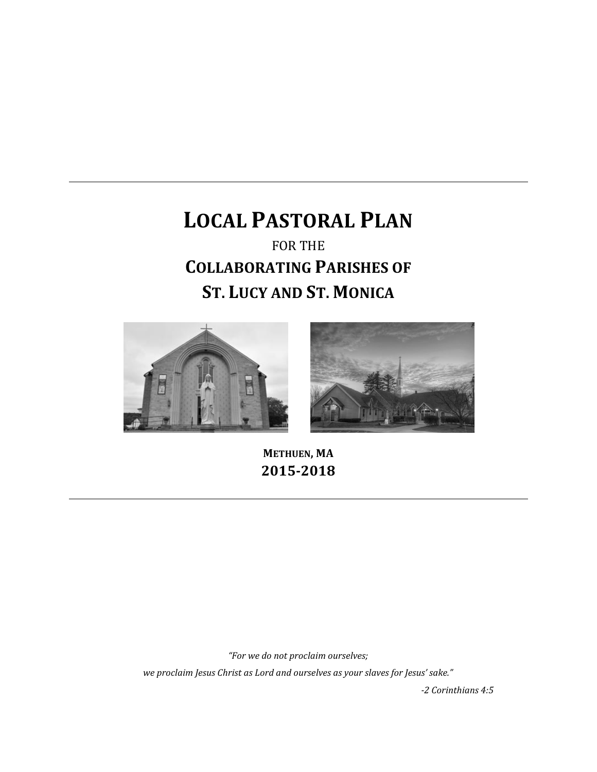# **LOCAL PASTORAL PLAN**  FOR THE **COLLABORATING PARISHES OF ST. LUCY AND ST. MONICA**





**METHUEN, MA 2015-2018**

*"For we do not proclaim ourselves;*

*we proclaim Jesus Christ as Lord and ourselves as your slaves for Jesus' sake."*

*-2 Corinthians 4:5*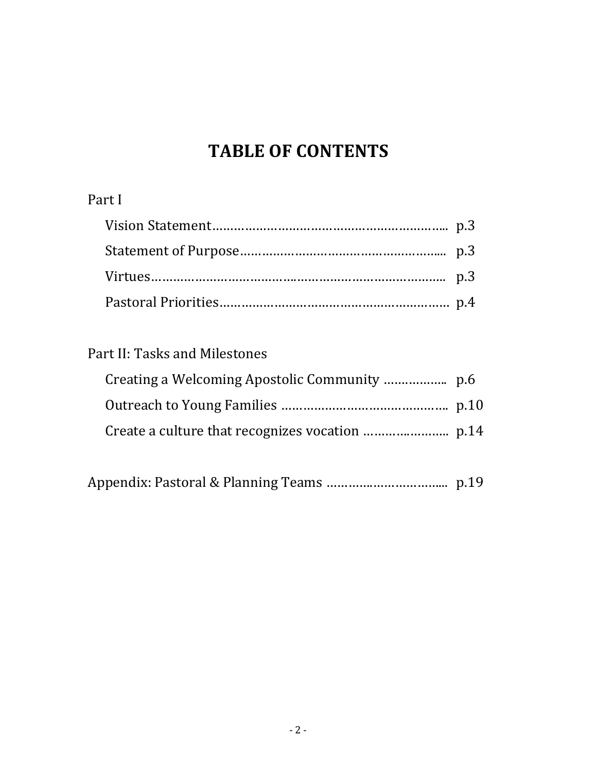## **TABLE OF CONTENTS**

## Part I

## Part II: Tasks and Milestones

|--|--|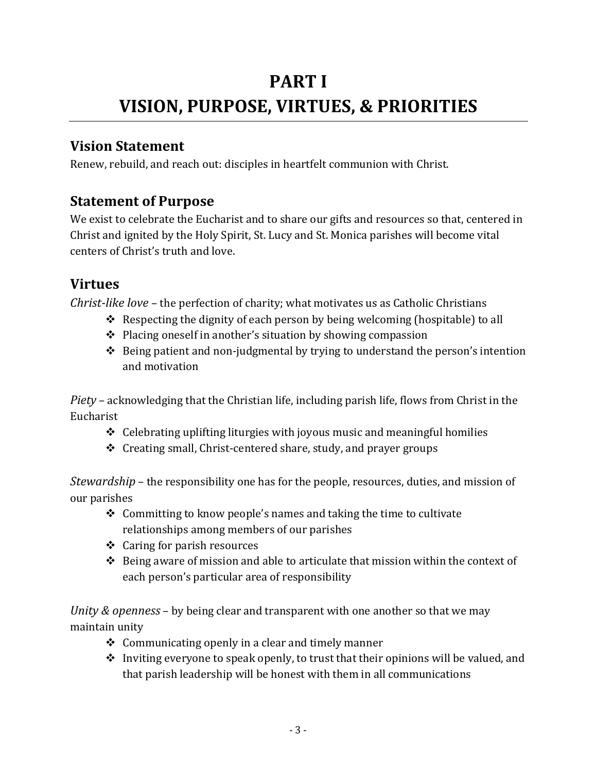# **PART I VISION, PURPOSE, VIRTUES, & PRIORITIES**

## **Vision Statement**

Renew, rebuild, and reach out: disciples in heartfelt communion with Christ.

## **Statement of Purpose**

We exist to celebrate the Eucharist and to share our gifts and resources so that, centered in Christ and ignited by the Holy Spirit, St. Lucy and St. Monica parishes will become vital centers of Christ's truth and love.

## **Virtues**

*Christ-like love* – the perfection of charity; what motivates us as Catholic Christians

- Respecting the dignity of each person by being welcoming (hospitable) to all
- $\triangle$  Placing oneself in another's situation by showing compassion
- $\triangle$  Being patient and non-judgmental by trying to understand the person's intention and motivation

*Piety* – acknowledging that the Christian life, including parish life, flows from Christ in the Eucharist

- $\div$  Celebrating uplifting liturgies with joyous music and meaningful homilies
- $\triangleleft$  Creating small, Christ-centered share, study, and prayer groups

*Stewardship* – the responsibility one has for the people, resources, duties, and mission of our parishes

- $\triangle$  Committing to know people's names and taking the time to cultivate relationships among members of our parishes
- Caring for parish resources
- $\div$  Being aware of mission and able to articulate that mission within the context of each person's particular area of responsibility

*Unity & openness* – by being clear and transparent with one another so that we may maintain unity

- $\triangle$  Communicating openly in a clear and timely manner
- $\triangle$  Inviting everyone to speak openly, to trust that their opinions will be valued, and that parish leadership will be honest with them in all communications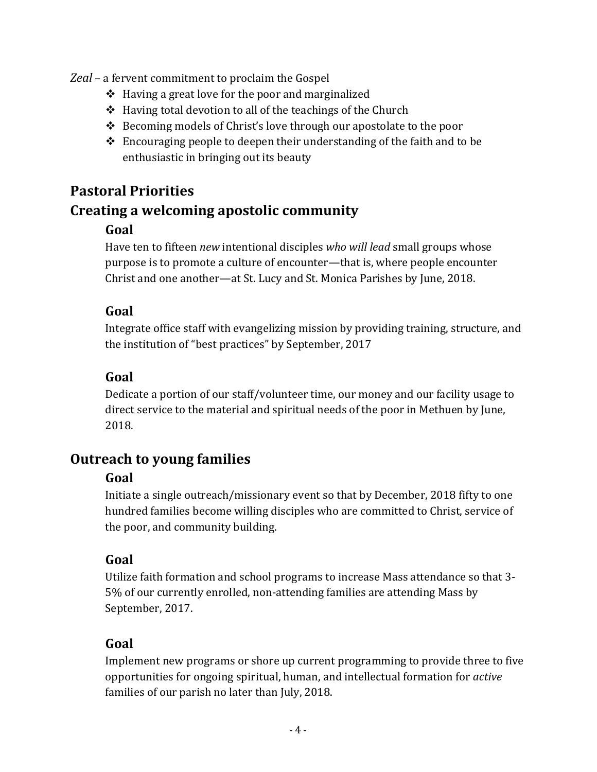*Zeal* – a fervent commitment to proclaim the Gospel

- $\div$  Having a great love for the poor and marginalized
- $\div$  Having total devotion to all of the teachings of the Church
- Becoming models of Christ's love through our apostolate to the poor
- $\triangle$  Encouraging people to deepen their understanding of the faith and to be enthusiastic in bringing out its beauty

## **Pastoral Priorities**

## **Creating a welcoming apostolic community**

#### **Goal**

Have ten to fifteen *new* intentional disciples *who will lead* small groups whose purpose is to promote a culture of encounter—that is, where people encounter Christ and one another—at St. Lucy and St. Monica Parishes by June, 2018.

#### **Goal**

Integrate office staff with evangelizing mission by providing training, structure, and the institution of "best practices" by September, 2017

#### **Goal**

Dedicate a portion of our staff/volunteer time, our money and our facility usage to direct service to the material and spiritual needs of the poor in Methuen by June, 2018.

## **Outreach to young families**

#### **Goal**

Initiate a single outreach/missionary event so that by December, 2018 fifty to one hundred families become willing disciples who are committed to Christ, service of the poor, and community building.

#### **Goal**

Utilize faith formation and school programs to increase Mass attendance so that 3- 5% of our currently enrolled, non-attending families are attending Mass by September, 2017.

#### **Goal**

Implement new programs or shore up current programming to provide three to five opportunities for ongoing spiritual, human, and intellectual formation for *active* families of our parish no later than July, 2018.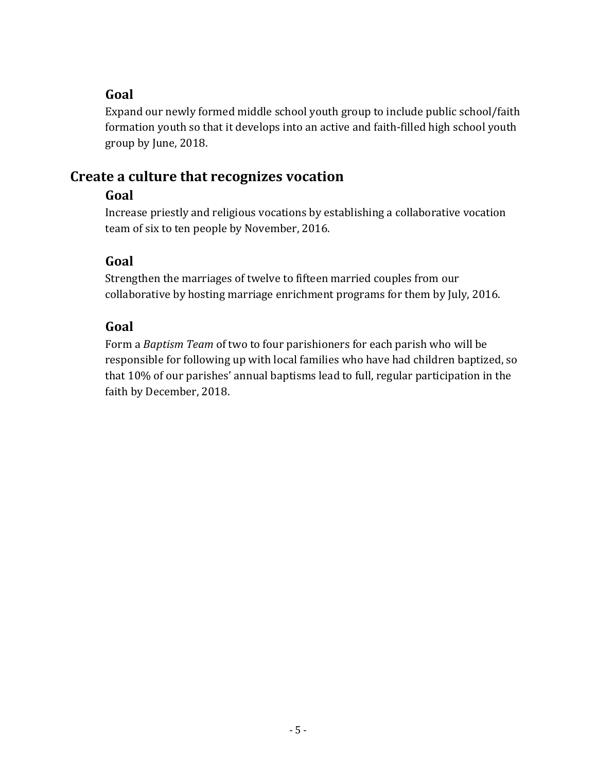Expand our newly formed middle school youth group to include public school/faith formation youth so that it develops into an active and faith-filled high school youth group by June, 2018.

## **Create a culture that recognizes vocation**

#### **Goal**

Increase priestly and religious vocations by establishing a collaborative vocation team of six to ten people by November, 2016.

#### **Goal**

Strengthen the marriages of twelve to fifteen married couples from our collaborative by hosting marriage enrichment programs for them by July, 2016.

#### **Goal**

Form a *Baptism Team* of two to four parishioners for each parish who will be responsible for following up with local families who have had children baptized, so that 10% of our parishes' annual baptisms lead to full, regular participation in the faith by December, 2018.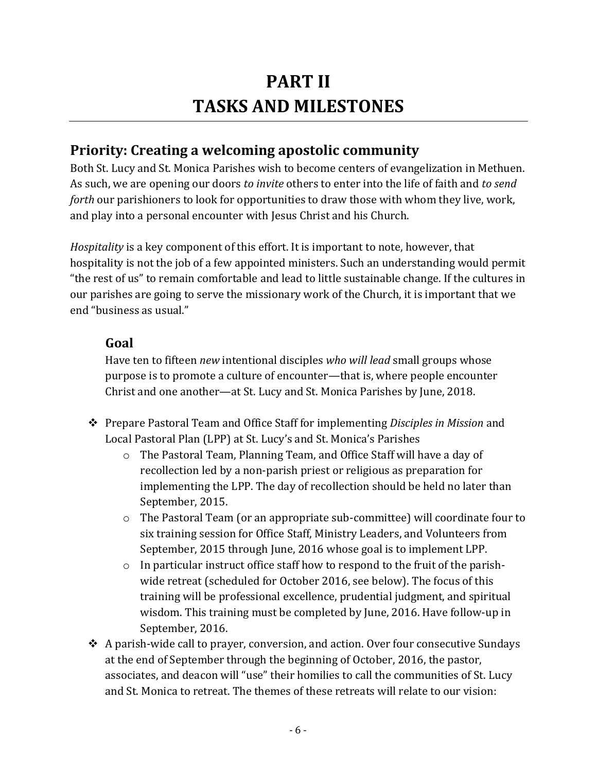# **PART II TASKS AND MILESTONES**

## **Priority: Creating a welcoming apostolic community**

Both St. Lucy and St. Monica Parishes wish to become centers of evangelization in Methuen. As such, we are opening our doors *to invite* others to enter into the life of faith and *to send forth* our parishioners to look for opportunities to draw those with whom they live, work, and play into a personal encounter with Jesus Christ and his Church.

*Hospitality* is a key component of this effort. It is important to note, however, that hospitality is not the job of a few appointed ministers. Such an understanding would permit "the rest of us" to remain comfortable and lead to little sustainable change. If the cultures in our parishes are going to serve the missionary work of the Church, it is important that we end "business as usual."

#### **Goal**

Have ten to fifteen *new* intentional disciples *who will lead* small groups whose purpose is to promote a culture of encounter—that is, where people encounter Christ and one another—at St. Lucy and St. Monica Parishes by June, 2018.

- Prepare Pastoral Team and Office Staff for implementing *Disciples in Mission* and Local Pastoral Plan (LPP) at St. Lucy's and St. Monica's Parishes
	- o The Pastoral Team, Planning Team, and Office Staff will have a day of recollection led by a non-parish priest or religious as preparation for implementing the LPP. The day of recollection should be held no later than September, 2015.
	- $\circ$  The Pastoral Team (or an appropriate sub-committee) will coordinate four to six training session for Office Staff, Ministry Leaders, and Volunteers from September, 2015 through June, 2016 whose goal is to implement LPP.
	- o In particular instruct office staff how to respond to the fruit of the parishwide retreat (scheduled for October 2016, see below). The focus of this training will be professional excellence, prudential judgment, and spiritual wisdom. This training must be completed by June, 2016. Have follow-up in September, 2016.
- $\triangle$  A parish-wide call to prayer, conversion, and action. Over four consecutive Sundays at the end of September through the beginning of October, 2016, the pastor, associates, and deacon will "use" their homilies to call the communities of St. Lucy and St. Monica to retreat. The themes of these retreats will relate to our vision: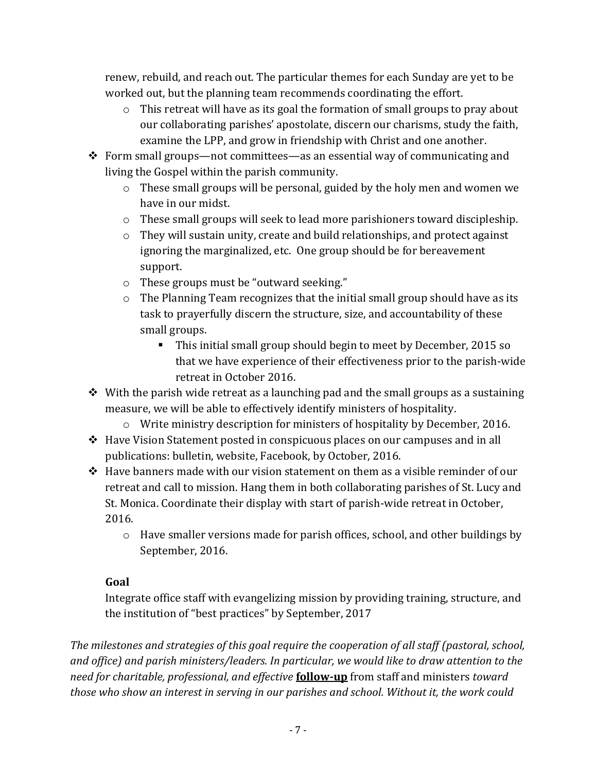renew, rebuild, and reach out. The particular themes for each Sunday are yet to be worked out, but the planning team recommends coordinating the effort.

- $\circ$  This retreat will have as its goal the formation of small groups to pray about our collaborating parishes' apostolate, discern our charisms, study the faith, examine the LPP, and grow in friendship with Christ and one another.
- $\triangle$  Form small groups—not committees—as an essential way of communicating and living the Gospel within the parish community.
	- o These small groups will be personal, guided by the holy men and women we have in our midst.
	- o These small groups will seek to lead more parishioners toward discipleship.
	- o They will sustain unity, create and build relationships, and protect against ignoring the marginalized, etc. One group should be for bereavement support.
	- o These groups must be "outward seeking."
	- o The Planning Team recognizes that the initial small group should have as its task to prayerfully discern the structure, size, and accountability of these small groups.
		- This initial small group should begin to meet by December, 2015 so that we have experience of their effectiveness prior to the parish-wide retreat in October 2016.
- $\triangle$  With the parish wide retreat as a launching pad and the small groups as a sustaining measure, we will be able to effectively identify ministers of hospitality.
	- $\circ$  Write ministry description for ministers of hospitality by December, 2016.
- Have Vision Statement posted in conspicuous places on our campuses and in all publications: bulletin, website, Facebook, by October, 2016.
- $\div$  Have banners made with our vision statement on them as a visible reminder of our retreat and call to mission. Hang them in both collaborating parishes of St. Lucy and St. Monica. Coordinate their display with start of parish-wide retreat in October, 2016.
	- o Have smaller versions made for parish offices, school, and other buildings by September, 2016.

#### **Goal**

Integrate office staff with evangelizing mission by providing training, structure, and the institution of "best practices" by September, 2017

*The milestones and strategies of this goal require the cooperation of all staff (pastoral, school, and office) and parish ministers/leaders. In particular, we would like to draw attention to the need for charitable, professional, and effective* **follow-up** from staff and ministers *toward those who show an interest in serving in our parishes and school. Without it, the work could*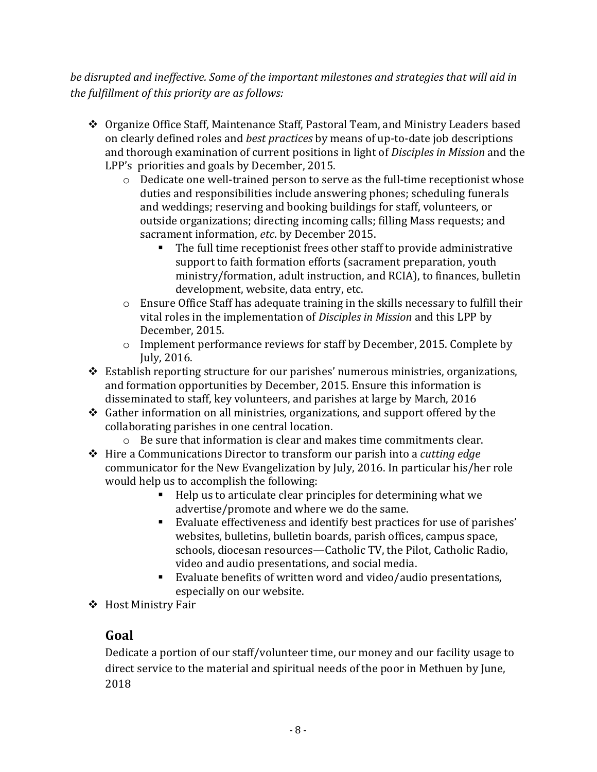*be disrupted and ineffective. Some of the important milestones and strategies that will aid in the fulfillment of this priority are as follows:*

- Organize Office Staff, Maintenance Staff, Pastoral Team, and Ministry Leaders based on clearly defined roles and *best practices* by means of up-to-date job descriptions and thorough examination of current positions in light of *Disciples in Mission* and the LPP's priorities and goals by December, 2015.
	- o Dedicate one well-trained person to serve as the full-time receptionist whose duties and responsibilities include answering phones; scheduling funerals and weddings; reserving and booking buildings for staff, volunteers, or outside organizations; directing incoming calls; filling Mass requests; and sacrament information, *etc*. by December 2015.
		- The full time receptionist frees other staff to provide administrative support to faith formation efforts (sacrament preparation, youth ministry/formation, adult instruction, and RCIA), to finances, bulletin development, website, data entry, etc.
	- o Ensure Office Staff has adequate training in the skills necessary to fulfill their vital roles in the implementation of *Disciples in Mission* and this LPP by December, 2015.
	- o Implement performance reviews for staff by December, 2015. Complete by July, 2016.
- Establish reporting structure for our parishes' numerous ministries, organizations, and formation opportunities by December, 2015. Ensure this information is disseminated to staff, key volunteers, and parishes at large by March, 2016
- Gather information on all ministries, organizations, and support offered by the collaborating parishes in one central location.
	- o Be sure that information is clear and makes time commitments clear.
- Hire a Communications Director to transform our parish into a *cutting edge* communicator for the New Evangelization by July, 2016. In particular his/her role would help us to accomplish the following:
	- Help us to articulate clear principles for determining what we advertise/promote and where we do the same.
	- Evaluate effectiveness and identify best practices for use of parishes' websites, bulletins, bulletin boards, parish offices, campus space, schools, diocesan resources—Catholic TV, the Pilot, Catholic Radio, video and audio presentations, and social media.
	- Evaluate benefits of written word and video/audio presentations, especially on our website.
- ❖ Host Ministry Fair

#### **Goal**

Dedicate a portion of our staff/volunteer time, our money and our facility usage to direct service to the material and spiritual needs of the poor in Methuen by June, 2018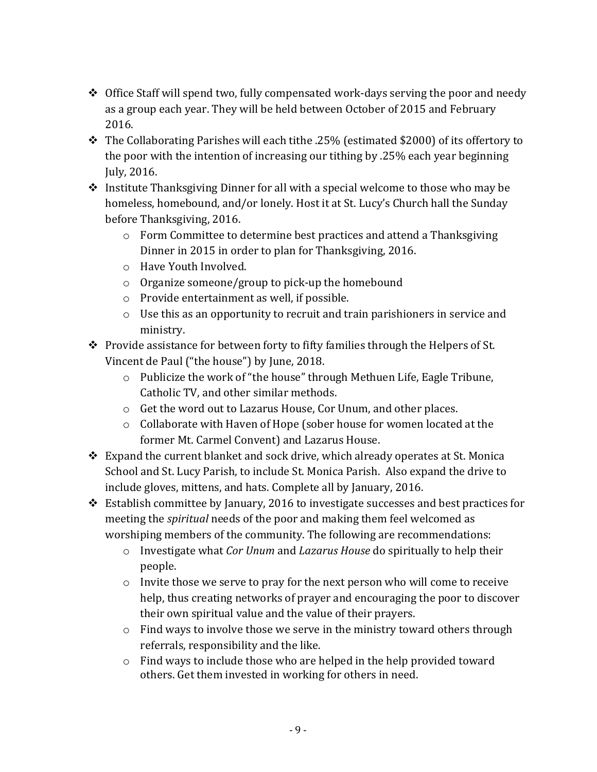- Office Staff will spend two, fully compensated work-days serving the poor and needy as a group each year. They will be held between October of 2015 and February 2016.
- The Collaborating Parishes will each tithe .25% (estimated \$2000) of its offertory to the poor with the intention of increasing our tithing by .25% each year beginning July, 2016.
- \* Institute Thanksgiving Dinner for all with a special welcome to those who may be homeless, homebound, and/or lonely. Host it at St. Lucy's Church hall the Sunday before Thanksgiving, 2016.
	- o Form Committee to determine best practices and attend a Thanksgiving Dinner in 2015 in order to plan for Thanksgiving, 2016.
	- o Have Youth Involved.
	- o Organize someone/group to pick-up the homebound
	- o Provide entertainment as well, if possible.
	- o Use this as an opportunity to recruit and train parishioners in service and ministry.
- \* Provide assistance for between forty to fifty families through the Helpers of St. Vincent de Paul ("the house") by June, 2018.
	- o Publicize the work of "the house" through Methuen Life, Eagle Tribune, Catholic TV, and other similar methods.
	- o Get the word out to Lazarus House, Cor Unum, and other places.
	- o Collaborate with Haven of Hope (sober house for women located at the former Mt. Carmel Convent) and Lazarus House.
- $\triangle$  Expand the current blanket and sock drive, which already operates at St. Monica School and St. Lucy Parish, to include St. Monica Parish. Also expand the drive to include gloves, mittens, and hats. Complete all by January, 2016.
- Establish committee by January, 2016 to investigate successes and best practices for meeting the *spiritual* needs of the poor and making them feel welcomed as worshiping members of the community. The following are recommendations:
	- o Investigate what *Cor Unum* and *Lazarus House* do spiritually to help their people.
	- o Invite those we serve to pray for the next person who will come to receive help, thus creating networks of prayer and encouraging the poor to discover their own spiritual value and the value of their prayers.
	- o Find ways to involve those we serve in the ministry toward others through referrals, responsibility and the like.
	- o Find ways to include those who are helped in the help provided toward others. Get them invested in working for others in need.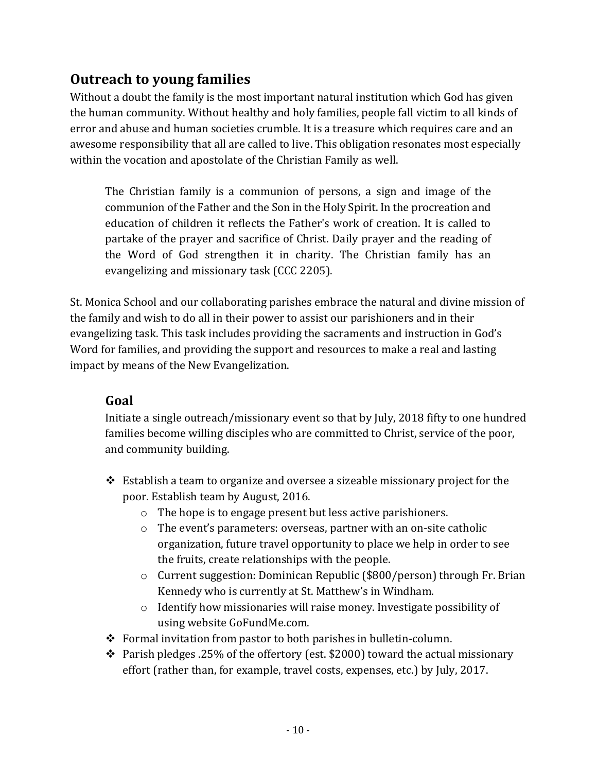## **Outreach to young families**

Without a doubt the family is the most important natural institution which God has given the human community. Without healthy and holy families, people fall victim to all kinds of error and abuse and human societies crumble. It is a treasure which requires care and an awesome responsibility that all are called to live. This obligation resonates most especially within the vocation and apostolate of the Christian Family as well.

The Christian family is a communion of persons, a sign and image of the communion of the Father and the Son in the Holy Spirit. In the procreation and education of children it reflects the Father's work of creation. It is called to partake of the prayer and sacrifice of Christ. Daily prayer and the reading of the Word of God strengthen it in charity. The Christian family has an evangelizing and missionary task (CCC 2205).

St. Monica School and our collaborating parishes embrace the natural and divine mission of the family and wish to do all in their power to assist our parishioners and in their evangelizing task. This task includes providing the sacraments and instruction in God's Word for families, and providing the support and resources to make a real and lasting impact by means of the New Evangelization.

#### **Goal**

Initiate a single outreach/missionary event so that by July, 2018 fifty to one hundred families become willing disciples who are committed to Christ, service of the poor, and community building.

- $\div$  Establish a team to organize and oversee a sizeable missionary project for the poor. Establish team by August, 2016.
	- o The hope is to engage present but less active parishioners.
	- o The event's parameters: overseas, partner with an on-site catholic organization, future travel opportunity to place we help in order to see the fruits, create relationships with the people.
	- o Current suggestion: Dominican Republic (\$800/person) through Fr. Brian Kennedy who is currently at St. Matthew's in Windham.
	- o Identify how missionaries will raise money. Investigate possibility of using website GoFundMe.com.
- Formal invitation from pastor to both parishes in bulletin-column.
- $\cdot$  Parish pledges .25% of the offertory (est. \$2000) toward the actual missionary effort (rather than, for example, travel costs, expenses, etc.) by July, 2017.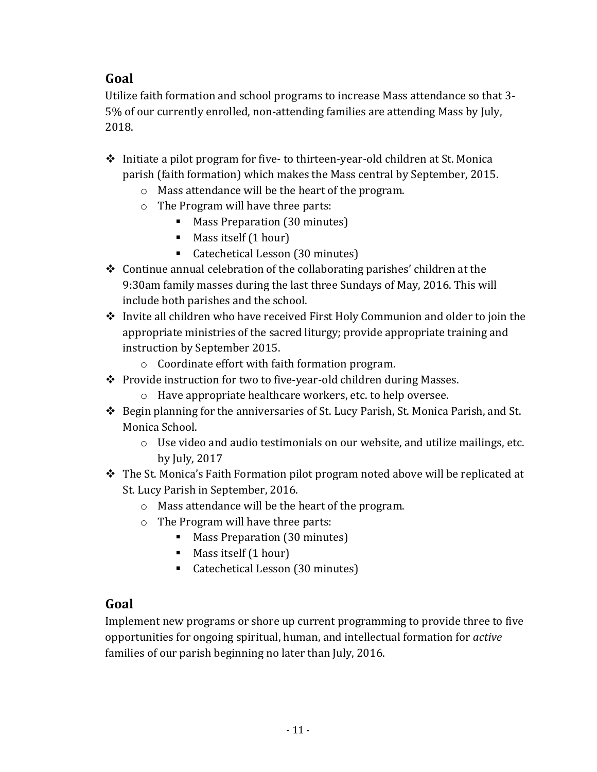Utilize faith formation and school programs to increase Mass attendance so that 3- 5% of our currently enrolled, non-attending families are attending Mass by July, 2018.

- $\div$  Initiate a pilot program for five- to thirteen-year-old children at St. Monica parish (faith formation) which makes the Mass central by September, 2015.
	- o Mass attendance will be the heart of the program.
	- o The Program will have three parts:
		- Mass Preparation (30 minutes)
		- Mass itself (1 hour)
		- Catechetical Lesson (30 minutes)
- $\triangleleft$  Continue annual celebration of the collaborating parishes' children at the 9:30am family masses during the last three Sundays of May, 2016. This will include both parishes and the school.
- \* Invite all children who have received First Holy Communion and older to join the appropriate ministries of the sacred liturgy; provide appropriate training and instruction by September 2015.
	- o Coordinate effort with faith formation program.
- ◆ Provide instruction for two to five-year-old children during Masses.
	- o Have appropriate healthcare workers, etc. to help oversee.
- Begin planning for the anniversaries of St. Lucy Parish, St. Monica Parish, and St. Monica School.
	- $\circ$  Use video and audio testimonials on our website, and utilize mailings, etc. by July, 2017
- \* The St. Monica's Faith Formation pilot program noted above will be replicated at St. Lucy Parish in September, 2016.
	- o Mass attendance will be the heart of the program.
	- o The Program will have three parts:
		- **Mass Preparation (30 minutes)**
		- $M$ ass itself (1 hour)
		- Catechetical Lesson (30 minutes)

#### **Goal**

Implement new programs or shore up current programming to provide three to five opportunities for ongoing spiritual, human, and intellectual formation for *active* families of our parish beginning no later than July, 2016.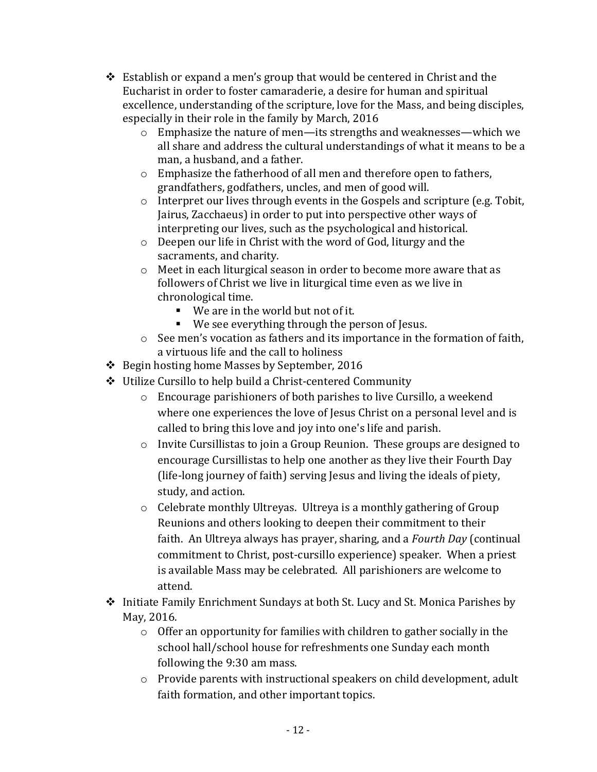- Establish or expand a men's group that would be centered in Christ and the Eucharist in order to foster camaraderie, a desire for human and spiritual excellence, understanding of the scripture, love for the Mass, and being disciples, especially in their role in the family by March, 2016
	- o Emphasize the nature of men—its strengths and weaknesses—which we all share and address the cultural understandings of what it means to be a man, a husband, and a father.
	- o Emphasize the fatherhood of all men and therefore open to fathers, grandfathers, godfathers, uncles, and men of good will.
	- o Interpret our lives through events in the Gospels and scripture (e.g. Tobit, Jairus, Zacchaeus) in order to put into perspective other ways of interpreting our lives, such as the psychological and historical.
	- o Deepen our life in Christ with the word of God, liturgy and the sacraments, and charity.
	- o Meet in each liturgical season in order to become more aware that as followers of Christ we live in liturgical time even as we live in chronological time.
		- We are in the world but not of it.
		- We see everything through the person of Jesus.
	- o See men's vocation as fathers and its importance in the formation of faith, a virtuous life and the call to holiness
- Begin hosting home Masses by September, 2016
- Utilize Cursillo to help build a Christ-centered Community
	- o Encourage parishioners of both parishes to live Cursillo, a weekend where one experiences the love of Jesus Christ on a personal level and is called to bring this love and joy into one's life and parish.
	- $\circ$  Invite Cursillistas to join a Group Reunion. These groups are designed to encourage Cursillistas to help one another as they live their Fourth Day (life-long journey of faith) serving Jesus and living the ideals of piety, study, and action.
	- o Celebrate monthly Ultreyas. Ultreya is a monthly gathering of Group Reunions and others looking to deepen their commitment to their faith. An Ultreya always has prayer, sharing, and a *Fourth Day* (continual commitment to Christ, post-cursillo experience) speaker. When a priest is available Mass may be celebrated. All parishioners are welcome to attend.
- ◆ Initiate Family Enrichment Sundays at both St. Lucy and St. Monica Parishes by May, 2016.
	- o Offer an opportunity for families with children to gather socially in the school hall/school house for refreshments one Sunday each month following the 9:30 am mass.
	- o Provide parents with instructional speakers on child development, adult faith formation, and other important topics.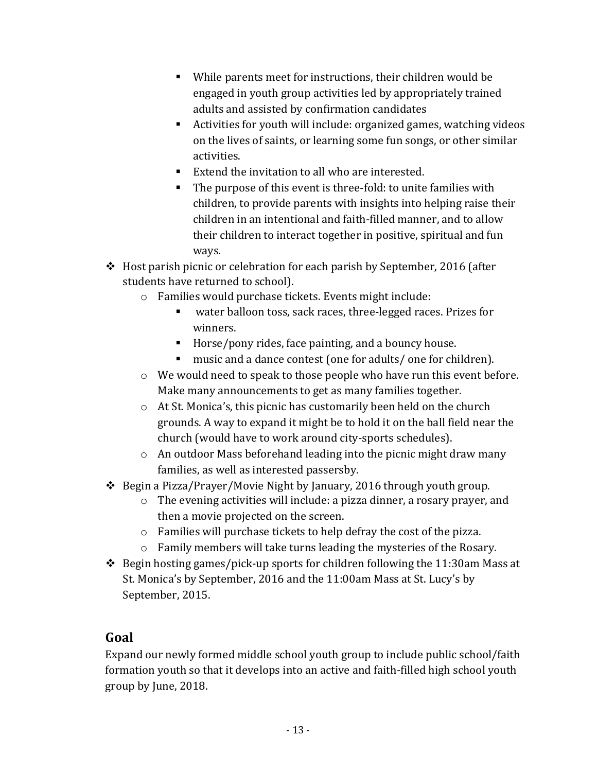- While parents meet for instructions, their children would be engaged in youth group activities led by appropriately trained adults and assisted by confirmation candidates
- Activities for youth will include: organized games, watching videos on the lives of saints, or learning some fun songs, or other similar activities.
- Extend the invitation to all who are interested.
- The purpose of this event is three-fold: to unite families with children, to provide parents with insights into helping raise their children in an intentional and faith-filled manner, and to allow their children to interact together in positive, spiritual and fun ways.
- $\div$  Host parish picnic or celebration for each parish by September, 2016 (after students have returned to school).
	- o Families would purchase tickets. Events might include:
		- water balloon toss, sack races, three-legged races. Prizes for winners.
		- Horse/pony rides, face painting, and a bouncy house.
		- music and a dance contest (one for adults/ one for children).
	- o We would need to speak to those people who have run this event before. Make many announcements to get as many families together.
	- o At St. Monica's, this picnic has customarily been held on the church grounds. A way to expand it might be to hold it on the ball field near the church (would have to work around city-sports schedules).
	- o An outdoor Mass beforehand leading into the picnic might draw many families, as well as interested passersby.
- Begin a Pizza/Prayer/Movie Night by January, 2016 through youth group.
	- o The evening activities will include: a pizza dinner, a rosary prayer, and then a movie projected on the screen.
	- o Families will purchase tickets to help defray the cost of the pizza.
	- o Family members will take turns leading the mysteries of the Rosary.
- $\div$  Begin hosting games/pick-up sports for children following the 11:30am Mass at St. Monica's by September, 2016 and the 11:00am Mass at St. Lucy's by September, 2015.

Expand our newly formed middle school youth group to include public school/faith formation youth so that it develops into an active and faith-filled high school youth group by June, 2018.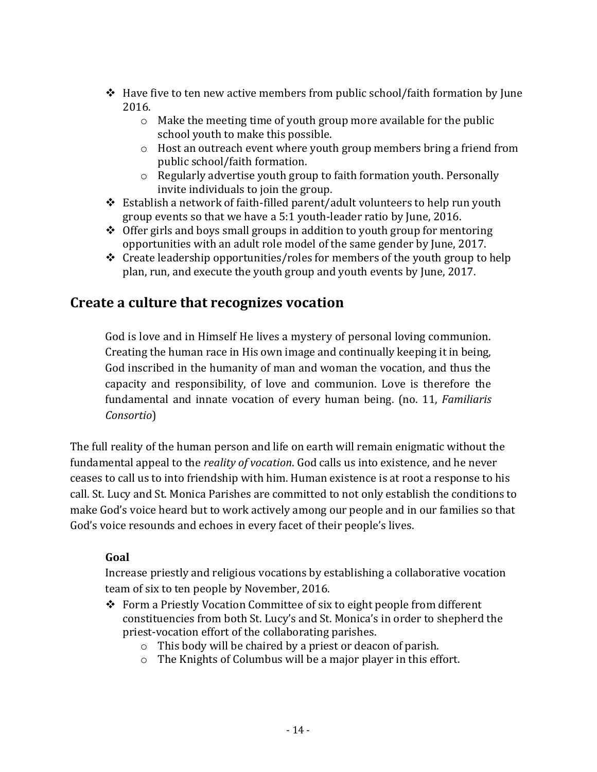- $\div$  Have five to ten new active members from public school/faith formation by June 2016.
	- o Make the meeting time of youth group more available for the public school youth to make this possible.
	- o Host an outreach event where youth group members bring a friend from public school/faith formation.
	- o Regularly advertise youth group to faith formation youth. Personally invite individuals to join the group.
- Establish a network of faith-filled parent/adult volunteers to help run youth group events so that we have a 5:1 youth-leader ratio by June, 2016.
- $\triangleleft$  Offer girls and boys small groups in addition to youth group for mentoring opportunities with an adult role model of the same gender by June, 2017.
- $\triangle$  Create leadership opportunities/roles for members of the youth group to help plan, run, and execute the youth group and youth events by June, 2017.

#### **Create a culture that recognizes vocation**

God is love and in Himself He lives a mystery of personal loving communion. Creating the human race in His own image and continually keeping it in being, God inscribed in the humanity of man and woman the vocation, and thus the capacity and responsibility, of love and communion. Love is therefore the fundamental and innate vocation of every human being. (no. 11, *Familiaris Consortio*)

The full reality of the human person and life on earth will remain enigmatic without the fundamental appeal to the *reality of vocation*. God calls us into existence, and he never ceases to call us to into friendship with him. Human existence is at root a response to his call. St. Lucy and St. Monica Parishes are committed to not only establish the conditions to make God's voice heard but to work actively among our people and in our families so that God's voice resounds and echoes in every facet of their people's lives.

#### **Goal**

Increase priestly and religious vocations by establishing a collaborative vocation team of six to ten people by November, 2016.

- Form a Priestly Vocation Committee of six to eight people from different constituencies from both St. Lucy's and St. Monica's in order to shepherd the priest-vocation effort of the collaborating parishes.
	- o This body will be chaired by a priest or deacon of parish.
	- o The Knights of Columbus will be a major player in this effort.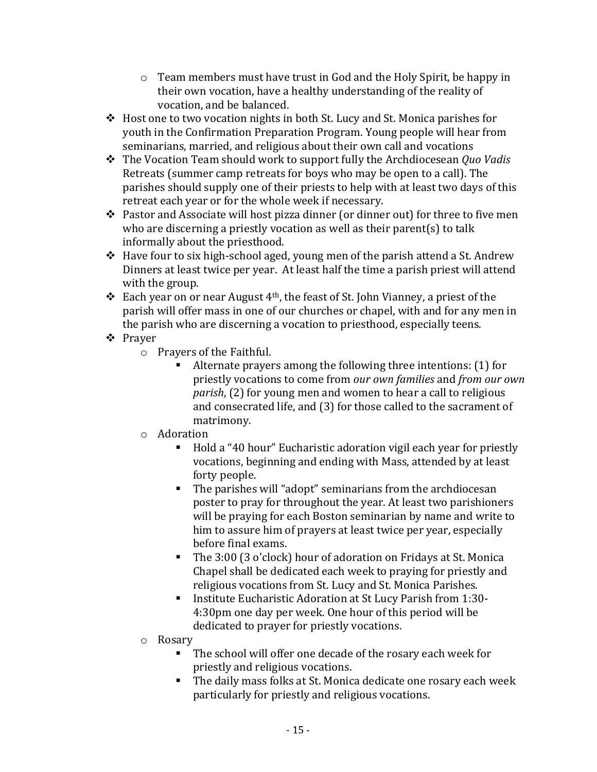- $\circ$  Team members must have trust in God and the Holy Spirit, be happy in their own vocation, have a healthy understanding of the reality of vocation, and be balanced.
- Host one to two vocation nights in both St. Lucy and St. Monica parishes for youth in the Confirmation Preparation Program. Young people will hear from seminarians, married, and religious about their own call and vocations
- The Vocation Team should work to support fully the Archdiocesean *Quo Vadis* Retreats (summer camp retreats for boys who may be open to a call). The parishes should supply one of their priests to help with at least two days of this retreat each year or for the whole week if necessary.
- Pastor and Associate will host pizza dinner (or dinner out) for three to five men who are discerning a priestly vocation as well as their parent(s) to talk informally about the priesthood.
- Have four to six high-school aged, young men of the parish attend a St. Andrew Dinners at least twice per year. At least half the time a parish priest will attend with the group.
- Each year on or near August 4<sup>th</sup>, the feast of St. John Vianney, a priest of the parish will offer mass in one of our churches or chapel, with and for any men in the parish who are discerning a vocation to priesthood, especially teens.
- Prayer
	- o Prayers of the Faithful.
		- Alternate prayers among the following three intentions: (1) for priestly vocations to come from *our own families* and *from our own parish*, (2) for young men and women to hear a call to religious and consecrated life, and (3) for those called to the sacrament of matrimony.
	- o Adoration
		- Hold a "40 hour" Eucharistic adoration vigil each year for priestly vocations, beginning and ending with Mass, attended by at least forty people.
		- The parishes will "adopt" seminarians from the archdiocesan poster to pray for throughout the year. At least two parishioners will be praying for each Boston seminarian by name and write to him to assure him of prayers at least twice per year, especially before final exams.
		- The 3:00 (3 o'clock) hour of adoration on Fridays at St. Monica Chapel shall be dedicated each week to praying for priestly and religious vocations from St. Lucy and St. Monica Parishes.
		- Institute Eucharistic Adoration at St Lucy Parish from 1:30-4:30pm one day per week. One hour of this period will be dedicated to prayer for priestly vocations.
	- o Rosary
		- The school will offer one decade of the rosary each week for priestly and religious vocations.
		- The daily mass folks at St. Monica dedicate one rosary each week particularly for priestly and religious vocations.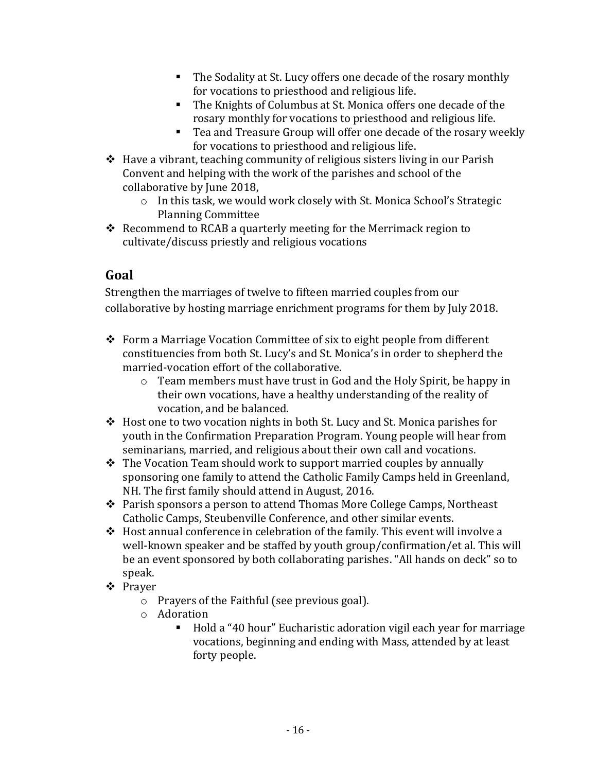- The Sodality at St. Lucy offers one decade of the rosary monthly for vocations to priesthood and religious life.
- The Knights of Columbus at St. Monica offers one decade of the rosary monthly for vocations to priesthood and religious life.
- Tea and Treasure Group will offer one decade of the rosary weekly for vocations to priesthood and religious life.
- $\triangle$  Have a vibrant, teaching community of religious sisters living in our Parish Convent and helping with the work of the parishes and school of the collaborative by June 2018,
	- o In this task, we would work closely with St. Monica School's Strategic Planning Committee
- $\triangleleft$  Recommend to RCAB a quarterly meeting for the Merrimack region to cultivate/discuss priestly and religious vocations

Strengthen the marriages of twelve to fifteen married couples from our collaborative by hosting marriage enrichment programs for them by July 2018.

- $\div$  Form a Marriage Vocation Committee of six to eight people from different constituencies from both St. Lucy's and St. Monica's in order to shepherd the married-vocation effort of the collaborative.
	- o Team members must have trust in God and the Holy Spirit, be happy in their own vocations, have a healthy understanding of the reality of vocation, and be balanced.
- Host one to two vocation nights in both St. Lucy and St. Monica parishes for youth in the Confirmation Preparation Program. Young people will hear from seminarians, married, and religious about their own call and vocations.
- $\hat{\mathbf{v}}$  The Vocation Team should work to support married couples by annually sponsoring one family to attend the Catholic Family Camps held in Greenland, NH. The first family should attend in August, 2016.
- Parish sponsors a person to attend Thomas More College Camps, Northeast Catholic Camps, Steubenville Conference, and other similar events.
- $\div$  Host annual conference in celebration of the family. This event will involve a well-known speaker and be staffed by youth group/confirmation/et al. This will be an event sponsored by both collaborating parishes. "All hands on deck" so to speak.
- Prayer
	- o Prayers of the Faithful (see previous goal).
	- o Adoration
		- Hold a "40 hour" Eucharistic adoration vigil each year for marriage vocations, beginning and ending with Mass, attended by at least forty people.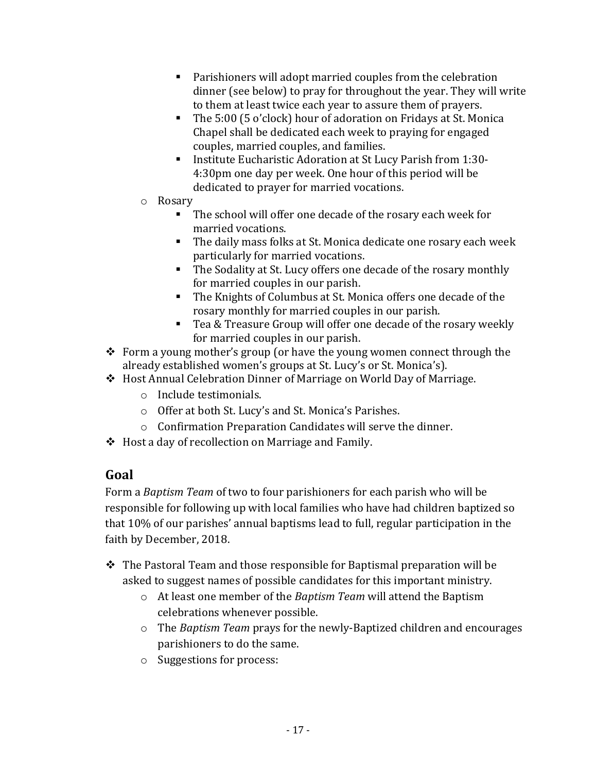- Parishioners will adopt married couples from the celebration dinner (see below) to pray for throughout the year. They will write to them at least twice each year to assure them of prayers.
- The 5:00 (5 o'clock) hour of adoration on Fridays at St. Monica Chapel shall be dedicated each week to praying for engaged couples, married couples, and families.
- Institute Eucharistic Adoration at St Lucy Parish from 1:30-4:30pm one day per week. One hour of this period will be dedicated to prayer for married vocations.
- o Rosary
	- The school will offer one decade of the rosary each week for married vocations.
	- The daily mass folks at St. Monica dedicate one rosary each week particularly for married vocations.
	- The Sodality at St. Lucy offers one decade of the rosary monthly for married couples in our parish.
	- The Knights of Columbus at St. Monica offers one decade of the rosary monthly for married couples in our parish.
	- Tea & Treasure Group will offer one decade of the rosary weekly for married couples in our parish.
- Form a young mother's group (or have the young women connect through the already established women's groups at St. Lucy's or St. Monica's).
- Host Annual Celebration Dinner of Marriage on World Day of Marriage.
	- o Include testimonials.
	- o Offer at both St. Lucy's and St. Monica's Parishes.
	- o Confirmation Preparation Candidates will serve the dinner.
- Host a day of recollection on Marriage and Family.

Form a *Baptism Team* of two to four parishioners for each parish who will be responsible for following up with local families who have had children baptized so that 10% of our parishes' annual baptisms lead to full, regular participation in the faith by December, 2018.

- \* The Pastoral Team and those responsible for Baptismal preparation will be asked to suggest names of possible candidates for this important ministry.
	- o At least one member of the *Baptism Team* will attend the Baptism celebrations whenever possible.
	- o The *Baptism Team* prays for the newly-Baptized children and encourages parishioners to do the same.
	- o Suggestions for process: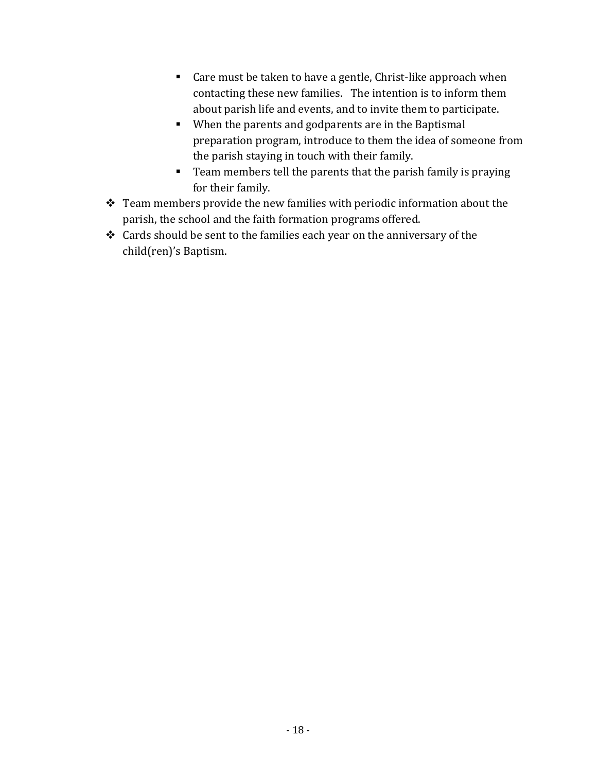- Care must be taken to have a gentle, Christ-like approach when contacting these new families. The intention is to inform them about parish life and events, and to invite them to participate.
- When the parents and godparents are in the Baptismal preparation program, introduce to them the idea of someone from the parish staying in touch with their family.
- **Team members tell the parents that the parish family is praying** for their family.
- \* Team members provide the new families with periodic information about the parish, the school and the faith formation programs offered.
- Cards should be sent to the families each year on the anniversary of the child(ren)'s Baptism.